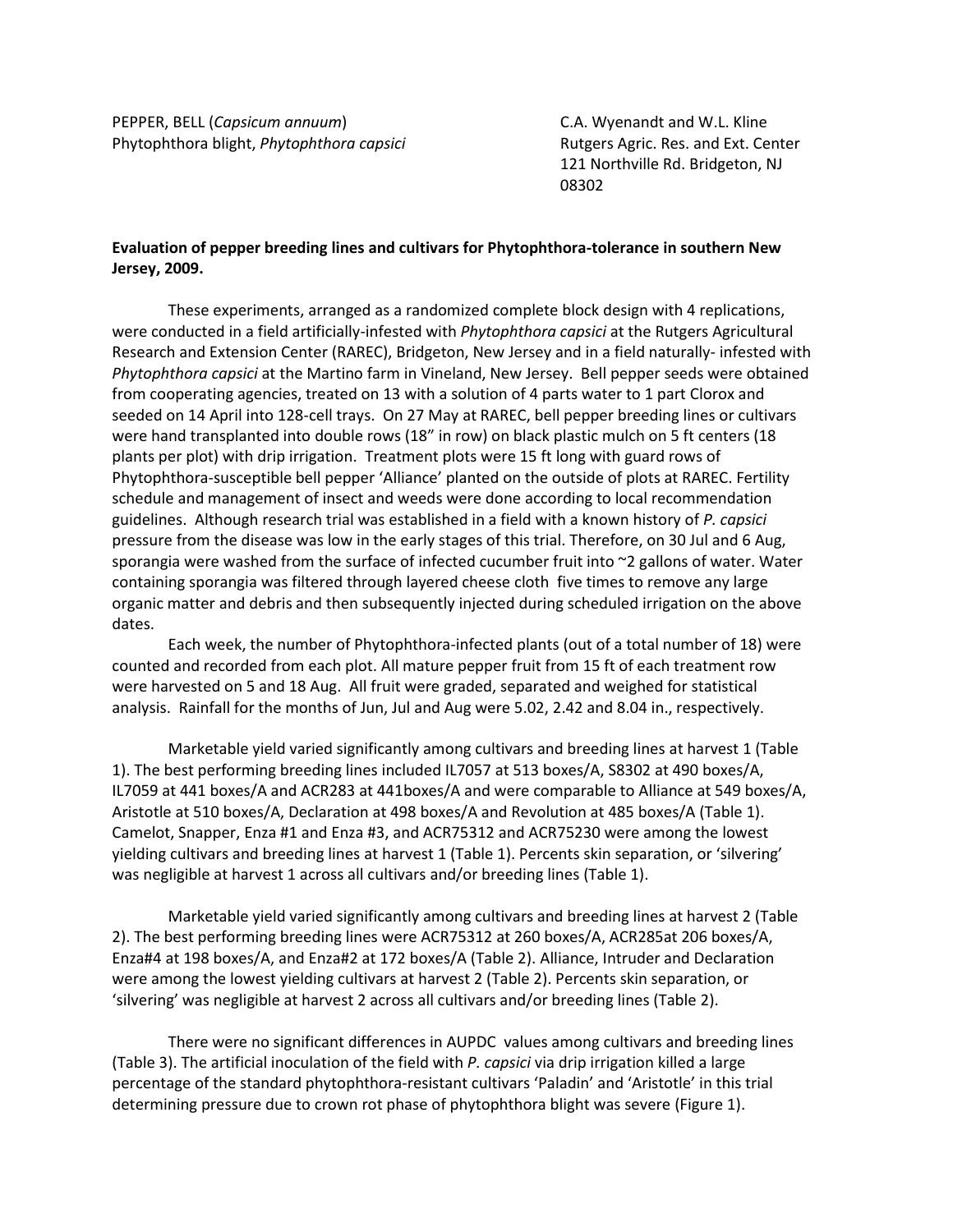PEPPER, BELL (*Capsicum annuum*) C.A. Wyenandt and W.L. Kline Phytophthora blight, *Phytophthora capsici* **Rutgers Agric. Res. and Ext. Center** 

121 Northville Rd. Bridgeton, NJ 08302

## **Evaluation of pepper breeding lines and cultivars for Phytophthora-tolerance in southern New Jersey, 2009.**

These experiments, arranged as a randomized complete block design with 4 replications, were conducted in a field artificially-infested with *Phytophthora capsici* at the Rutgers Agricultural Research and Extension Center (RAREC), Bridgeton, New Jersey and in a field naturally- infested with *Phytophthora capsici* at the Martino farm in Vineland, New Jersey. Bell pepper seeds were obtained from cooperating agencies, treated on 13 with a solution of 4 parts water to 1 part Clorox and seeded on 14 April into 128-cell trays. On 27 May at RAREC, bell pepper breeding lines or cultivars were hand transplanted into double rows (18" in row) on black plastic mulch on 5 ft centers (18 plants per plot) with drip irrigation. Treatment plots were 15 ft long with guard rows of Phytophthora-susceptible bell pepper 'Alliance' planted on the outside of plots at RAREC. Fertility schedule and management of insect and weeds were done according to local recommendation guidelines. Although research trial was established in a field with a known history of *P. capsici* pressure from the disease was low in the early stages of this trial. Therefore, on 30 Jul and 6 Aug, sporangia were washed from the surface of infected cucumber fruit into  $\sim$ 2 gallons of water. Water containing sporangia was filtered through layered cheese cloth five times to remove any large organic matter and debris and then subsequently injected during scheduled irrigation on the above dates.

Each week, the number of Phytophthora-infected plants (out of a total number of 18) were counted and recorded from each plot. All mature pepper fruit from 15 ft of each treatment row were harvested on 5 and 18 Aug. All fruit were graded, separated and weighed for statistical analysis. Rainfall for the months of Jun, Jul and Aug were 5.02, 2.42 and 8.04 in., respectively.

Marketable yield varied significantly among cultivars and breeding lines at harvest 1 (Table 1). The best performing breeding lines included IL7057 at 513 boxes/A, S8302 at 490 boxes/A, IL7059 at 441 boxes/A and ACR283 at 441boxes/A and were comparable to Alliance at 549 boxes/A, Aristotle at 510 boxes/A, Declaration at 498 boxes/A and Revolution at 485 boxes/A (Table 1). Camelot, Snapper, Enza #1 and Enza #3, and ACR75312 and ACR75230 were among the lowest yielding cultivars and breeding lines at harvest 1 (Table 1). Percents skin separation, or 'silvering' was negligible at harvest 1 across all cultivars and/or breeding lines (Table 1).

Marketable yield varied significantly among cultivars and breeding lines at harvest 2 (Table 2). The best performing breeding lines were ACR75312 at 260 boxes/A, ACR285at 206 boxes/A, Enza#4 at 198 boxes/A, and Enza#2 at 172 boxes/A (Table 2). Alliance, Intruder and Declaration were among the lowest yielding cultivars at harvest 2 (Table 2). Percents skin separation, or 'silvering' was negligible at harvest 2 across all cultivars and/or breeding lines (Table 2).

There were no significant differences in AUPDC values among cultivars and breeding lines (Table 3). The artificial inoculation of the field with *P. capsici* via drip irrigation killed a large percentage of the standard phytophthora-resistant cultivars 'Paladin' and 'Aristotle' in this trial determining pressure due to crown rot phase of phytophthora blight was severe (Figure 1).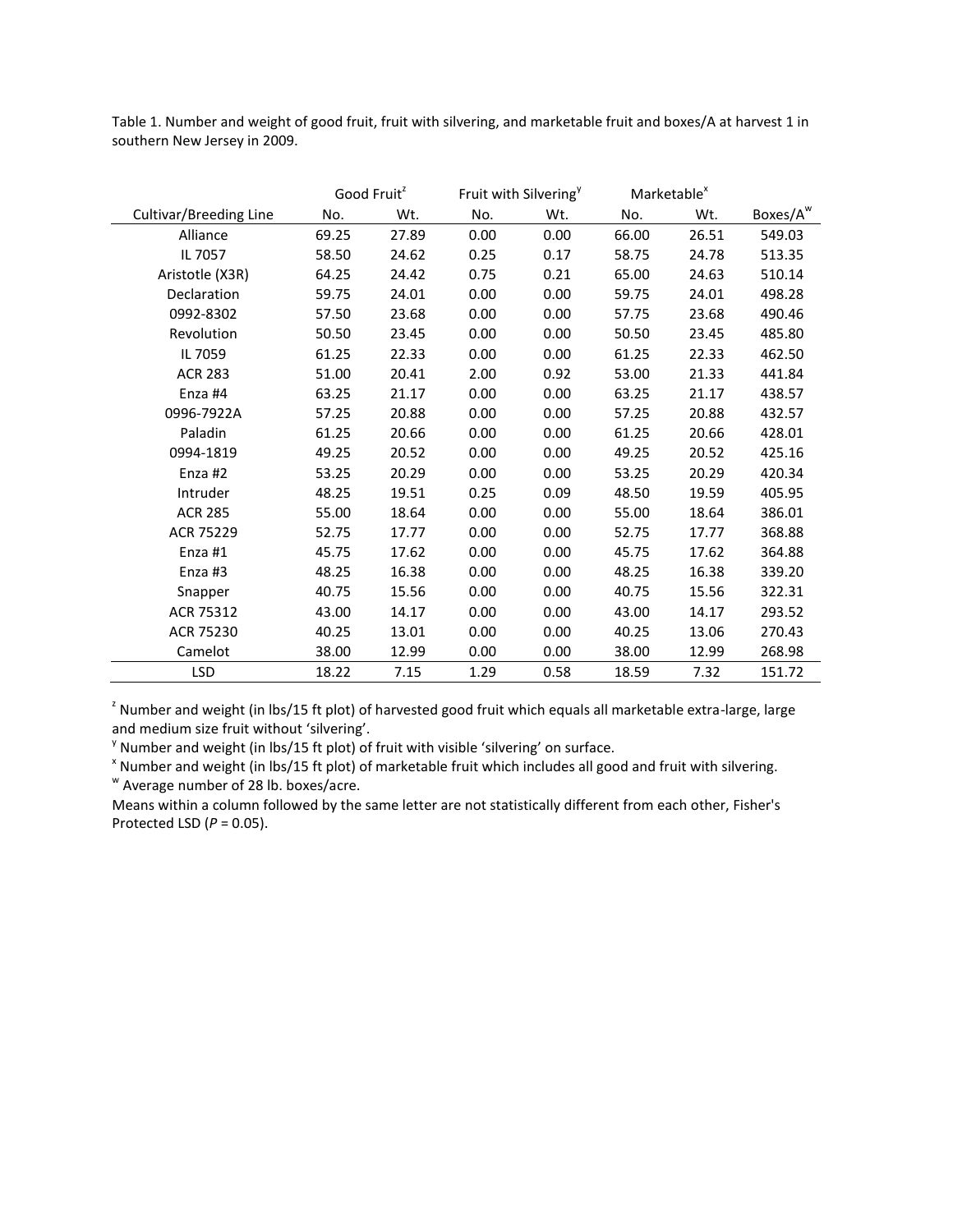Table 1. Number and weight of good fruit, fruit with silvering, and marketable fruit and boxes/A at harvest 1 in southern New Jersey in 2009.

|                        |       | Good Fruit <sup>2</sup> |      | Fruit with Silvering <sup>y</sup> | Marketable <sup>x</sup> |       |                      |
|------------------------|-------|-------------------------|------|-----------------------------------|-------------------------|-------|----------------------|
| Cultivar/Breeding Line | No.   | Wt.                     | No.  | Wt.                               | No.                     | Wt.   | Boxes/A <sup>w</sup> |
| Alliance               | 69.25 | 27.89                   | 0.00 | 0.00                              | 66.00                   | 26.51 | 549.03               |
| IL 7057                | 58.50 | 24.62                   | 0.25 | 0.17                              | 58.75                   | 24.78 | 513.35               |
| Aristotle (X3R)        | 64.25 | 24.42                   | 0.75 | 0.21                              | 65.00                   | 24.63 | 510.14               |
| Declaration            | 59.75 | 24.01                   | 0.00 | 0.00                              | 59.75                   | 24.01 | 498.28               |
| 0992-8302              | 57.50 | 23.68                   | 0.00 | 0.00                              | 57.75                   | 23.68 | 490.46               |
| Revolution             | 50.50 | 23.45                   | 0.00 | 0.00                              | 50.50                   | 23.45 | 485.80               |
| IL 7059                | 61.25 | 22.33                   | 0.00 | 0.00                              | 61.25                   | 22.33 | 462.50               |
| <b>ACR 283</b>         | 51.00 | 20.41                   | 2.00 | 0.92                              | 53.00                   | 21.33 | 441.84               |
| Enza #4                | 63.25 | 21.17                   | 0.00 | 0.00                              | 63.25                   | 21.17 | 438.57               |
| 0996-7922A             | 57.25 | 20.88                   | 0.00 | 0.00                              | 57.25                   | 20.88 | 432.57               |
| Paladin                | 61.25 | 20.66                   | 0.00 | 0.00                              | 61.25                   | 20.66 | 428.01               |
| 0994-1819              | 49.25 | 20.52                   | 0.00 | 0.00                              | 49.25                   | 20.52 | 425.16               |
| Enza #2                | 53.25 | 20.29                   | 0.00 | 0.00                              | 53.25                   | 20.29 | 420.34               |
| Intruder               | 48.25 | 19.51                   | 0.25 | 0.09                              | 48.50                   | 19.59 | 405.95               |
| <b>ACR 285</b>         | 55.00 | 18.64                   | 0.00 | 0.00                              | 55.00                   | 18.64 | 386.01               |
| ACR 75229              | 52.75 | 17.77                   | 0.00 | 0.00                              | 52.75                   | 17.77 | 368.88               |
| Enza #1                | 45.75 | 17.62                   | 0.00 | 0.00                              | 45.75                   | 17.62 | 364.88               |
| Enza #3                | 48.25 | 16.38                   | 0.00 | 0.00                              | 48.25                   | 16.38 | 339.20               |
| Snapper                | 40.75 | 15.56                   | 0.00 | 0.00                              | 40.75                   | 15.56 | 322.31               |
| ACR 75312              | 43.00 | 14.17                   | 0.00 | 0.00                              | 43.00                   | 14.17 | 293.52               |
| ACR 75230              | 40.25 | 13.01                   | 0.00 | 0.00                              | 40.25                   | 13.06 | 270.43               |
| Camelot                | 38.00 | 12.99                   | 0.00 | 0.00                              | 38.00                   | 12.99 | 268.98               |
| <b>LSD</b>             | 18.22 | 7.15                    | 1.29 | 0.58                              | 18.59                   | 7.32  | 151.72               |

<sup>z</sup> Number and weight (in lbs/15 ft plot) of harvested good fruit which equals all marketable extra-large, large and medium size fruit without 'silvering'.

 $y$  Number and weight (in lbs/15 ft plot) of fruit with visible 'silvering' on surface.

x Number and weight (in lbs/15 ft plot) of marketable fruit which includes all good and fruit with silvering. w Average number of 28 lb. boxes/acre.

Means within a column followed by the same letter are not statistically different from each other, Fisher's Protected LSD (*P* = 0.05).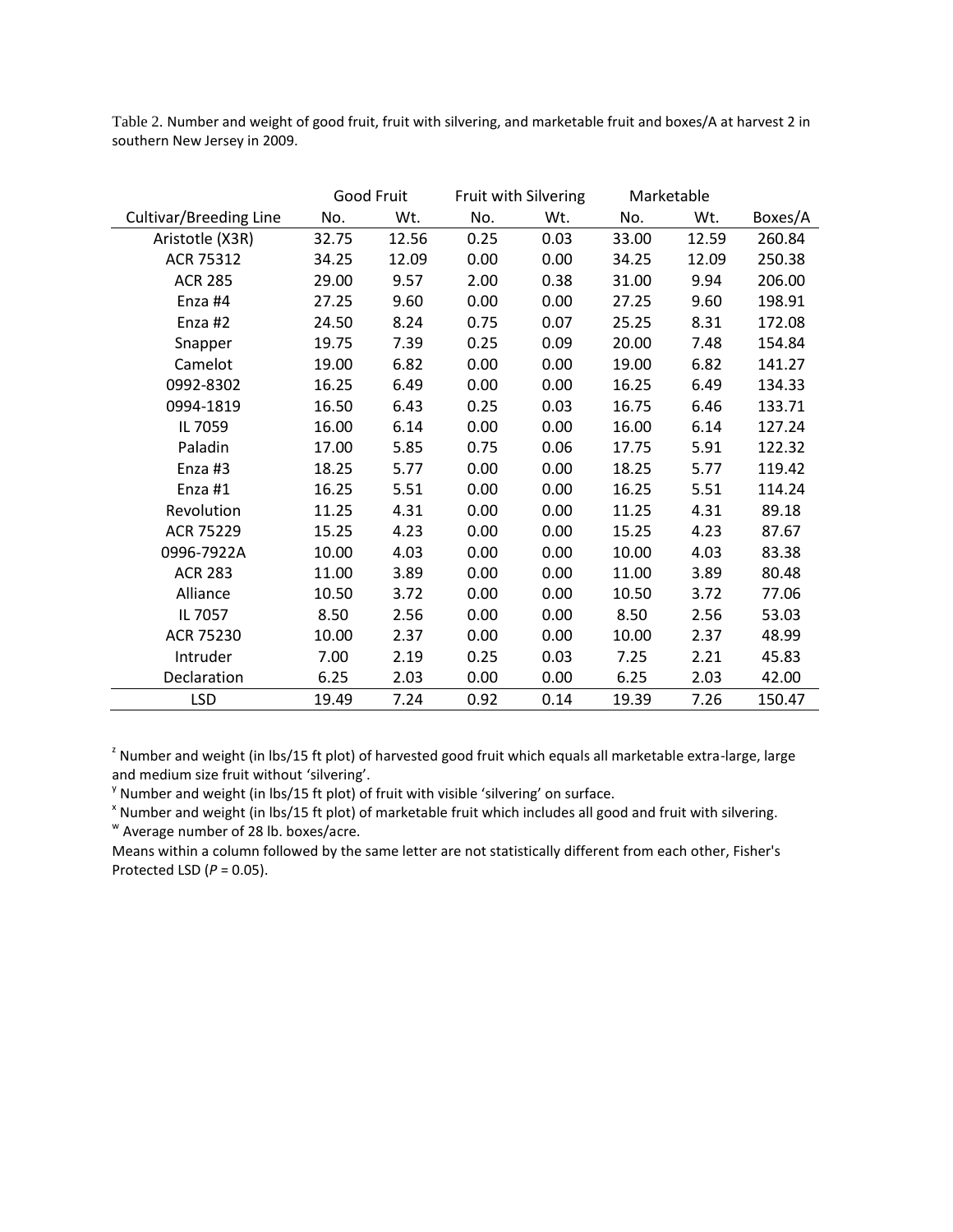Table 2. Number and weight of good fruit, fruit with silvering, and marketable fruit and boxes/A at harvest 2 in southern New Jersey in 2009.

|                        |       | Good Fruit |      | Fruit with Silvering | Marketable |       |         |
|------------------------|-------|------------|------|----------------------|------------|-------|---------|
| Cultivar/Breeding Line | No.   | Wt.        | No.  | Wt.                  | No.        | Wt.   | Boxes/A |
| Aristotle (X3R)        | 32.75 | 12.56      | 0.25 | 0.03                 | 33.00      | 12.59 | 260.84  |
| ACR 75312              | 34.25 | 12.09      | 0.00 | 0.00                 | 34.25      | 12.09 | 250.38  |
| <b>ACR 285</b>         | 29.00 | 9.57       | 2.00 | 0.38                 | 31.00      | 9.94  | 206.00  |
| Enza #4                | 27.25 | 9.60       | 0.00 | 0.00                 | 27.25      | 9.60  | 198.91  |
| Enza #2                | 24.50 | 8.24       | 0.75 | 0.07                 | 25.25      | 8.31  | 172.08  |
| Snapper                | 19.75 | 7.39       | 0.25 | 0.09                 | 20.00      | 7.48  | 154.84  |
| Camelot                | 19.00 | 6.82       | 0.00 | 0.00                 | 19.00      | 6.82  | 141.27  |
| 0992-8302              | 16.25 | 6.49       | 0.00 | 0.00                 | 16.25      | 6.49  | 134.33  |
| 0994-1819              | 16.50 | 6.43       | 0.25 | 0.03                 | 16.75      | 6.46  | 133.71  |
| IL 7059                | 16.00 | 6.14       | 0.00 | 0.00                 | 16.00      | 6.14  | 127.24  |
| Paladin                | 17.00 | 5.85       | 0.75 | 0.06                 | 17.75      | 5.91  | 122.32  |
| Enza #3                | 18.25 | 5.77       | 0.00 | 0.00                 | 18.25      | 5.77  | 119.42  |
| Enza #1                | 16.25 | 5.51       | 0.00 | 0.00                 | 16.25      | 5.51  | 114.24  |
| Revolution             | 11.25 | 4.31       | 0.00 | 0.00                 | 11.25      | 4.31  | 89.18   |
| ACR 75229              | 15.25 | 4.23       | 0.00 | 0.00                 | 15.25      | 4.23  | 87.67   |
| 0996-7922A             | 10.00 | 4.03       | 0.00 | 0.00                 | 10.00      | 4.03  | 83.38   |
| <b>ACR 283</b>         | 11.00 | 3.89       | 0.00 | 0.00                 | 11.00      | 3.89  | 80.48   |
| Alliance               | 10.50 | 3.72       | 0.00 | 0.00                 | 10.50      | 3.72  | 77.06   |
| IL 7057                | 8.50  | 2.56       | 0.00 | 0.00                 | 8.50       | 2.56  | 53.03   |
| ACR 75230              | 10.00 | 2.37       | 0.00 | 0.00                 | 10.00      | 2.37  | 48.99   |
| Intruder               | 7.00  | 2.19       | 0.25 | 0.03                 | 7.25       | 2.21  | 45.83   |
| Declaration            | 6.25  | 2.03       | 0.00 | 0.00                 | 6.25       | 2.03  | 42.00   |
| <b>LSD</b>             | 19.49 | 7.24       | 0.92 | 0.14                 | 19.39      | 7.26  | 150.47  |

<sup>z</sup> Number and weight (in lbs/15 ft plot) of harvested good fruit which equals all marketable extra-large, large and medium size fruit without 'silvering'.

<sup>y</sup> Number and weight (in lbs/15 ft plot) of fruit with visible 'silvering' on surface.

x Number and weight (in lbs/15 ft plot) of marketable fruit which includes all good and fruit with silvering. w Average number of 28 lb. boxes/acre.

Means within a column followed by the same letter are not statistically different from each other, Fisher's Protected LSD (*P* = 0.05).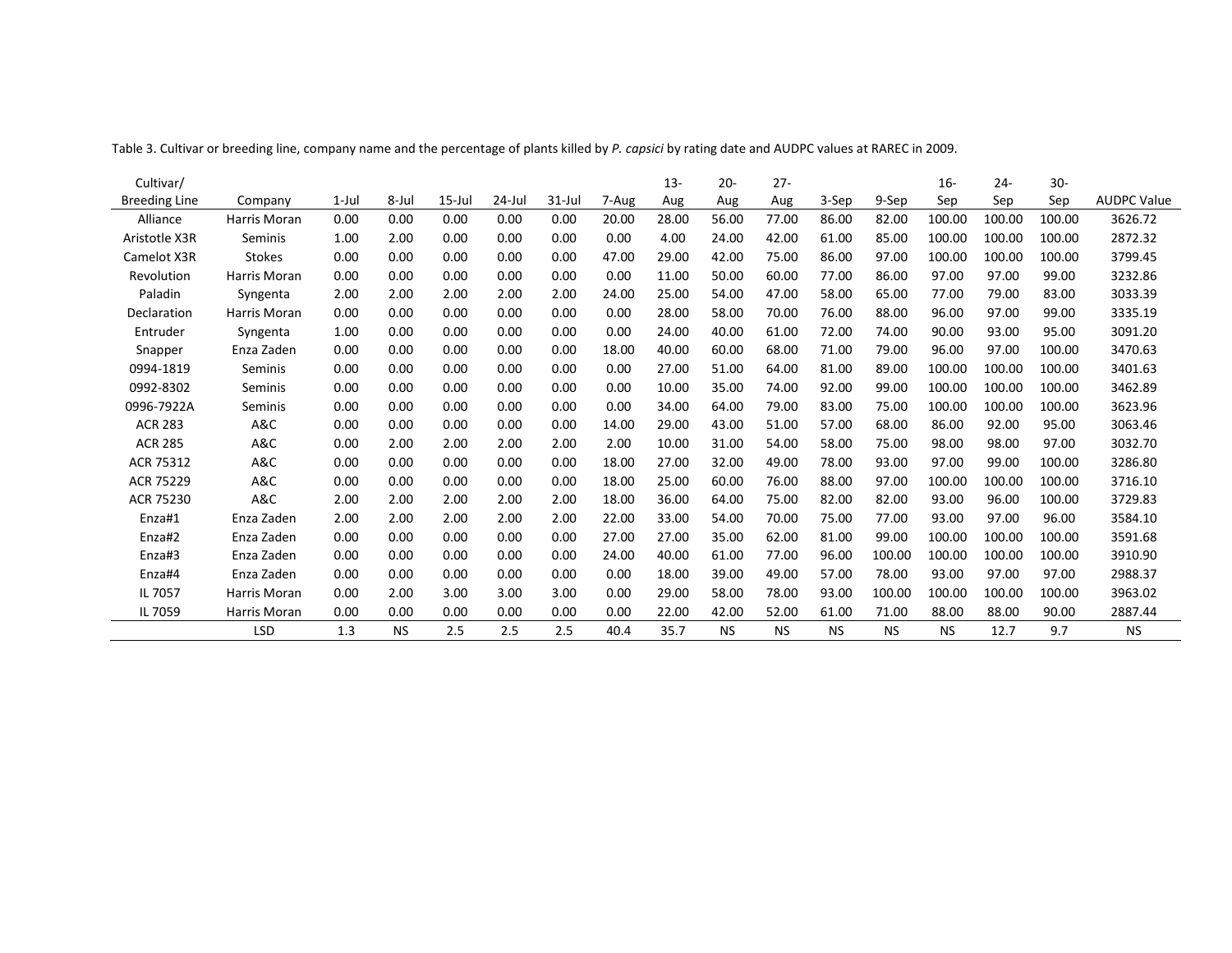| Cultivar/            |               |          |           |           |        |            |       | $13 -$ | $20 -$    | $27 -$    |           |           | $16 -$    | $24 -$ | $30 -$ |                    |
|----------------------|---------------|----------|-----------|-----------|--------|------------|-------|--------|-----------|-----------|-----------|-----------|-----------|--------|--------|--------------------|
| <b>Breeding Line</b> | Company       | $1$ -Jul | 8-Jul     | $15$ -Jul | 24-Jul | $31 -$ Jul | 7-Aug | Aug    | Aug       | Aug       | 3-Sep     | 9-Sep     | Sep       | Sep    | Sep    | <b>AUDPC Value</b> |
| Alliance             | Harris Moran  | 0.00     | 0.00      | 0.00      | 0.00   | 0.00       | 20.00 | 28.00  | 56.00     | 77.00     | 86.00     | 82.00     | 100.00    | 100.00 | 100.00 | 3626.72            |
| Aristotle X3R        | Seminis       | 1.00     | 2.00      | 0.00      | 0.00   | 0.00       | 0.00  | 4.00   | 24.00     | 42.00     | 61.00     | 85.00     | 100.00    | 100.00 | 100.00 | 2872.32            |
| Camelot X3R          | <b>Stokes</b> | 0.00     | 0.00      | 0.00      | 0.00   | 0.00       | 47.00 | 29.00  | 42.00     | 75.00     | 86.00     | 97.00     | 100.00    | 100.00 | 100.00 | 3799.45            |
| Revolution           | Harris Moran  | 0.00     | 0.00      | 0.00      | 0.00   | 0.00       | 0.00  | 11.00  | 50.00     | 60.00     | 77.00     | 86.00     | 97.00     | 97.00  | 99.00  | 3232.86            |
| Paladin              | Syngenta      | 2.00     | 2.00      | 2.00      | 2.00   | 2.00       | 24.00 | 25.00  | 54.00     | 47.00     | 58.00     | 65.00     | 77.00     | 79.00  | 83.00  | 3033.39            |
| Declaration          | Harris Moran  | 0.00     | 0.00      | 0.00      | 0.00   | 0.00       | 0.00  | 28.00  | 58.00     | 70.00     | 76.00     | 88.00     | 96.00     | 97.00  | 99.00  | 3335.19            |
| Entruder             | Syngenta      | 1.00     | 0.00      | 0.00      | 0.00   | 0.00       | 0.00  | 24.00  | 40.00     | 61.00     | 72.00     | 74.00     | 90.00     | 93.00  | 95.00  | 3091.20            |
| Snapper              | Enza Zaden    | 0.00     | 0.00      | 0.00      | 0.00   | 0.00       | 18.00 | 40.00  | 60.00     | 68.00     | 71.00     | 79.00     | 96.00     | 97.00  | 100.00 | 3470.63            |
| 0994-1819            | Seminis       | 0.00     | 0.00      | 0.00      | 0.00   | 0.00       | 0.00  | 27.00  | 51.00     | 64.00     | 81.00     | 89.00     | 100.00    | 100.00 | 100.00 | 3401.63            |
| 0992-8302            | Seminis       | 0.00     | 0.00      | 0.00      | 0.00   | 0.00       | 0.00  | 10.00  | 35.00     | 74.00     | 92.00     | 99.00     | 100.00    | 100.00 | 100.00 | 3462.89            |
| 0996-7922A           | Seminis       | 0.00     | 0.00      | 0.00      | 0.00   | 0.00       | 0.00  | 34.00  | 64.00     | 79.00     | 83.00     | 75.00     | 100.00    | 100.00 | 100.00 | 3623.96            |
| <b>ACR 283</b>       | A&C           | 0.00     | 0.00      | 0.00      | 0.00   | 0.00       | 14.00 | 29.00  | 43.00     | 51.00     | 57.00     | 68.00     | 86.00     | 92.00  | 95.00  | 3063.46            |
| <b>ACR 285</b>       | A&C           | 0.00     | 2.00      | 2.00      | 2.00   | 2.00       | 2.00  | 10.00  | 31.00     | 54.00     | 58.00     | 75.00     | 98.00     | 98.00  | 97.00  | 3032.70            |
| ACR 75312            | A&C           | 0.00     | 0.00      | 0.00      | 0.00   | 0.00       | 18.00 | 27.00  | 32.00     | 49.00     | 78.00     | 93.00     | 97.00     | 99.00  | 100.00 | 3286.80            |
| ACR 75229            | A&C           | 0.00     | 0.00      | 0.00      | 0.00   | 0.00       | 18.00 | 25.00  | 60.00     | 76.00     | 88.00     | 97.00     | 100.00    | 100.00 | 100.00 | 3716.10            |
| ACR 75230            | A&C           | 2.00     | 2.00      | 2.00      | 2.00   | 2.00       | 18.00 | 36.00  | 64.00     | 75.00     | 82.00     | 82.00     | 93.00     | 96.00  | 100.00 | 3729.83            |
| Enza#1               | Enza Zaden    | 2.00     | 2.00      | 2.00      | 2.00   | 2.00       | 22.00 | 33.00  | 54.00     | 70.00     | 75.00     | 77.00     | 93.00     | 97.00  | 96.00  | 3584.10            |
| Enza#2               | Enza Zaden    | 0.00     | 0.00      | 0.00      | 0.00   | 0.00       | 27.00 | 27.00  | 35.00     | 62.00     | 81.00     | 99.00     | 100.00    | 100.00 | 100.00 | 3591.68            |
| Enza#3               | Enza Zaden    | 0.00     | 0.00      | 0.00      | 0.00   | 0.00       | 24.00 | 40.00  | 61.00     | 77.00     | 96.00     | 100.00    | 100.00    | 100.00 | 100.00 | 3910.90            |
| Enza#4               | Enza Zaden    | 0.00     | 0.00      | 0.00      | 0.00   | 0.00       | 0.00  | 18.00  | 39.00     | 49.00     | 57.00     | 78.00     | 93.00     | 97.00  | 97.00  | 2988.37            |
| IL 7057              | Harris Moran  | 0.00     | 2.00      | 3.00      | 3.00   | 3.00       | 0.00  | 29.00  | 58.00     | 78.00     | 93.00     | 100.00    | 100.00    | 100.00 | 100.00 | 3963.02            |
| IL 7059              | Harris Moran  | 0.00     | 0.00      | 0.00      | 0.00   | 0.00       | 0.00  | 22.00  | 42.00     | 52.00     | 61.00     | 71.00     | 88.00     | 88.00  | 90.00  | 2887.44            |
|                      | <b>LSD</b>    | 1.3      | <b>NS</b> | 2.5       | 2.5    | 2.5        | 40.4  | 35.7   | <b>NS</b> | <b>NS</b> | <b>NS</b> | <b>NS</b> | <b>NS</b> | 12.7   | 9.7    | <b>NS</b>          |

Table 3. Cultivar or breeding line, company name and the percentage of plants killed by *P. capsici* by rating date and AUDPC values at RAREC in 2009.